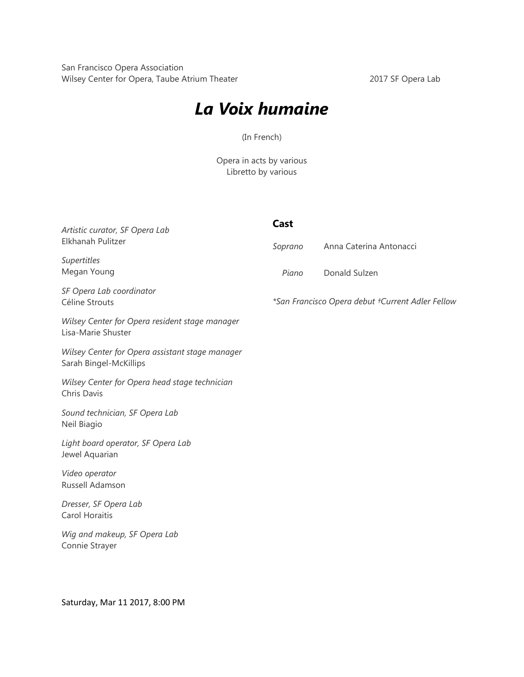San Francisco Opera Association Wilsey Center for Opera, Taube Atrium Theater 2017 SF Opera Lab

## *La Voix humaine*

(In French)

Opera in acts by various Libretto by various

| Artistic curator, SF Opera Lab<br>Elkhanah Pulitzer                       | Cast    |                                                  |
|---------------------------------------------------------------------------|---------|--------------------------------------------------|
|                                                                           | Soprano | Anna Caterina Antonacci                          |
| Supertitles<br>Megan Young                                                | Piano   | Donald Sulzen                                    |
| SF Opera Lab coordinator<br>Céline Strouts                                |         | *San Francisco Opera debut †Current Adler Fellow |
| Wilsey Center for Opera resident stage manager<br>Lisa-Marie Shuster      |         |                                                  |
| Wilsey Center for Opera assistant stage manager<br>Sarah Bingel-McKillips |         |                                                  |
| Wilsey Center for Opera head stage technician<br>Chris Davis              |         |                                                  |
| Sound technician, SF Opera Lab<br>Neil Biagio                             |         |                                                  |
| Light board operator, SF Opera Lab<br>Jewel Aquarian                      |         |                                                  |
| Video operator<br>Russell Adamson                                         |         |                                                  |
| Dresser, SF Opera Lab<br>Carol Horaitis                                   |         |                                                  |
| Wig and makeup, SF Opera Lab<br>Connie Strayer                            |         |                                                  |

Saturday, Mar 11 2017, 8:00 PM